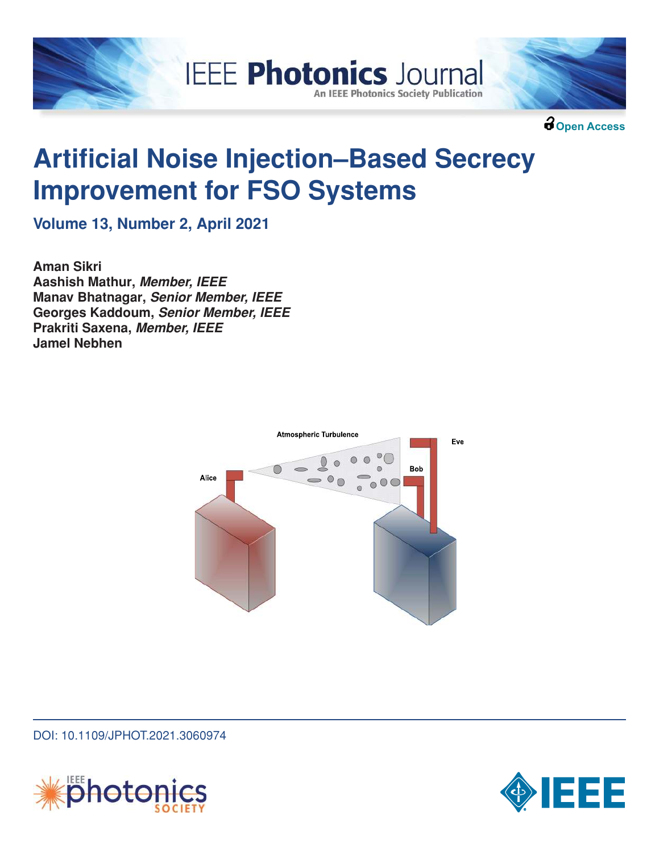



**Open Access**

# **Artificial Noise Injection–Based Secrecy Improvement for FSO Systems**

**IEEE Photonics Journal** 

**An IEEE Photonics Society Publication** 

**Volume 13, Number 2, April 2021**

**Aman Sikri Aashish Mathur, Member, IEEE Manav Bhatnagar, Senior Member, IEEE Georges Kaddoum, Senior Member, IEEE Prakriti Saxena, Member, IEEE Jamel Nebhen**



DOI: 10.1109/JPHOT.2021.3060974



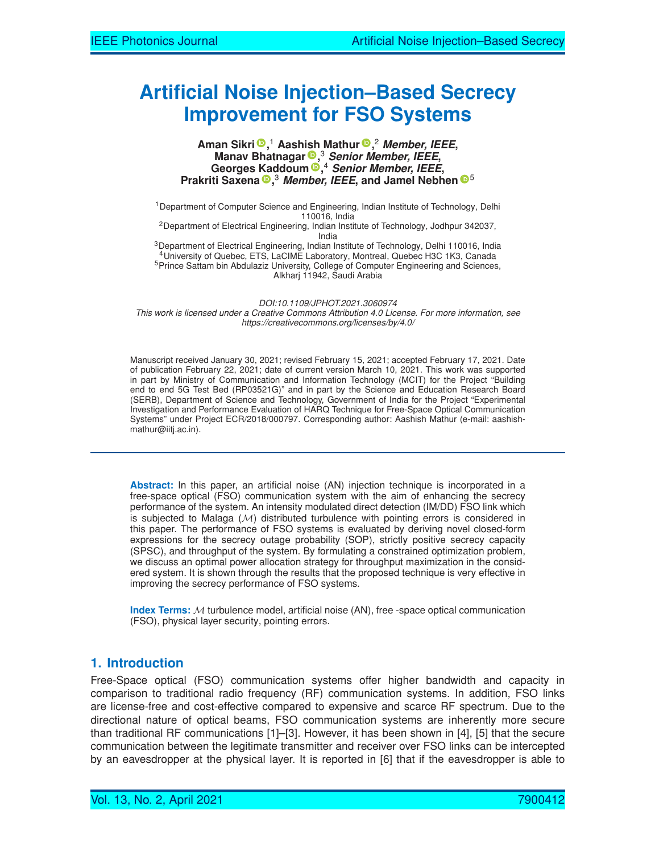# **Artificial Noise Injection–Based Secrecy Improvement for FSO Systems**

#### **Aman Sikri ,** <sup>1</sup> **Aashish Mathur ,** <sup>2</sup> **Member, IEEE, Manav Bhatnagar ,** <sup>3</sup> **Senior Member, IEEE, Georges Kaddoum ,** <sup>4</sup> **Senior Member, IEEE, Prakriti Saxena ,** <sup>3</sup> **Member, IEEE, and Jamel Nebhen** <sup>5</sup>

<sup>1</sup> Department of Computer Science and Engineering, Indian Institute of Technology, Delhi 110016, India <sup>2</sup>Department of Electrical Engineering, Indian Institute of Technology, Jodhpur 342037, India <sup>3</sup>Department of Electrical Engineering, Indian Institute of Technology, Delhi 110016, India <sup>4</sup>University of Quebec, ETS, LaCIME Laboratory, Montreal, Quebec H3C 1K3, Canada

<sup>5</sup>Prince Sattam bin Abdulaziz University, College of Computer Engineering and Sciences, Alkharj 11942, Saudi Arabia

*DOI:10.1109/JPHOT.2021.3060974*

This work is licensed under a Creative Commons Attribution 4.0 License. For more information, see *https://creativecommons.org/licenses/by/4.0/*

Manuscript received January 30, 2021; revised February 15, 2021; accepted February 17, 2021. Date of publication February 22, 2021; date of current version March 10, 2021. This work was supported in part by Ministry of Communication and Information Technology (MCIT) for the Project "Building end to end 5G Test Bed (RP03521G)" and in part by the Science and Education Research Board (SERB), Department of Science and Technology, Government of India for the Project "Experimental Investigation and Performance Evaluation of HARQ Technique for Free-Space Optical Communication Systems" under Project ECR/2018/000797. Corresponding author: Aashish Mathur (e-mail: aashishmathur@iitj.ac.in).

**Abstract:** In this paper, an artificial noise (AN) injection technique is incorporated in a free-space optical (FSO) communication system with the aim of enhancing the secrecy performance of the system. An intensity modulated direct detection (IM/DD) FSO link which is subjected to Malaga  $(M)$  distributed turbulence with pointing errors is considered in this paper. The performance of FSO systems is evaluated by deriving novel closed-form expressions for the secrecy outage probability (SOP), strictly positive secrecy capacity (SPSC), and throughput of the system. By formulating a constrained optimization problem, we discuss an optimal power allocation strategy for throughput maximization in the considered system. It is shown through the results that the proposed technique is very effective in improving the secrecy performance of FSO systems.

**Index Terms:** M turbulence model, artificial noise (AN), free -space optical communication (FSO), physical layer security, pointing errors.

# **1. Introduction**

Free-Space optical (FSO) communication systems offer higher bandwidth and capacity in comparison to traditional radio frequency (RF) communication systems. In addition, FSO links are license-free and cost-effective compared to expensive and scarce RF spectrum. Due to the directional nature of optical beams, FSO communication systems are inherently more secure than traditional RF communications [1]–[3]. However, it has been shown in [4], [5] that the secure communication between the legitimate transmitter and receiver over FSO links can be intercepted by an eavesdropper at the physical layer. It is reported in [6] that if the eavesdropper is able to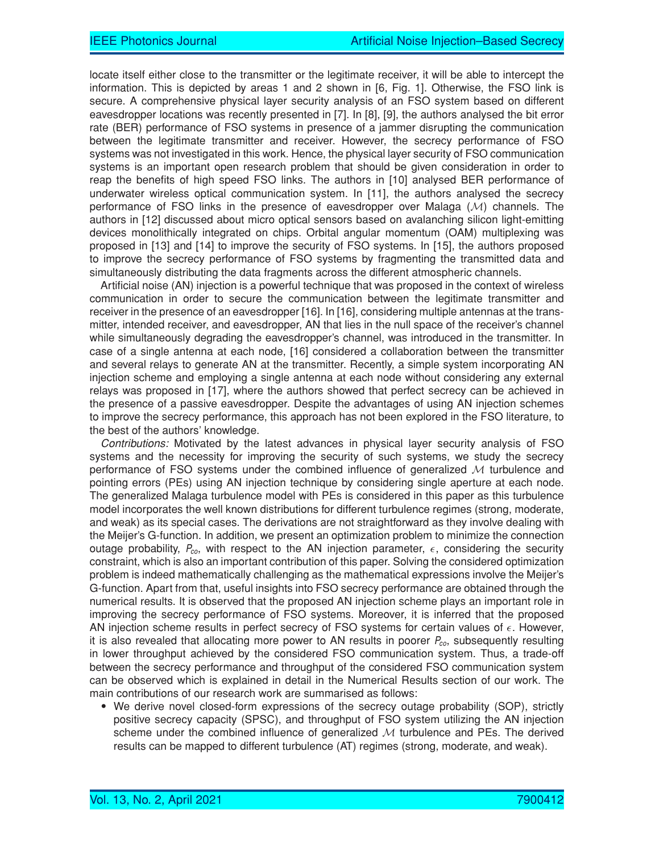locate itself either close to the transmitter or the legitimate receiver, it will be able to intercept the information. This is depicted by areas 1 and 2 shown in [6, Fig. 1]. Otherwise, the FSO link is secure. A comprehensive physical layer security analysis of an FSO system based on different eavesdropper locations was recently presented in [7]. In [8], [9], the authors analysed the bit error rate (BER) performance of FSO systems in presence of a jammer disrupting the communication between the legitimate transmitter and receiver. However, the secrecy performance of FSO systems was not investigated in this work. Hence, the physical layer security of FSO communication systems is an important open research problem that should be given consideration in order to reap the benefits of high speed FSO links. The authors in [10] analysed BER performance of underwater wireless optical communication system. In [11], the authors analysed the secrecy performance of FSO links in the presence of eavesdropper over Malaga  $(M)$  channels. The authors in [12] discussed about micro optical sensors based on avalanching silicon light-emitting devices monolithically integrated on chips. Orbital angular momentum (OAM) multiplexing was proposed in [13] and [14] to improve the security of FSO systems. In [15], the authors proposed to improve the secrecy performance of FSO systems by fragmenting the transmitted data and simultaneously distributing the data fragments across the different atmospheric channels.

Artificial noise (AN) injection is a powerful technique that was proposed in the context of wireless communication in order to secure the communication between the legitimate transmitter and receiver in the presence of an eavesdropper [16]. In [16], considering multiple antennas at the transmitter, intended receiver, and eavesdropper, AN that lies in the null space of the receiver's channel while simultaneously degrading the eavesdropper's channel, was introduced in the transmitter. In case of a single antenna at each node, [16] considered a collaboration between the transmitter and several relays to generate AN at the transmitter. Recently, a simple system incorporating AN injection scheme and employing a single antenna at each node without considering any external relays was proposed in [17], where the authors showed that perfect secrecy can be achieved in the presence of a passive eavesdropper. Despite the advantages of using AN injection schemes to improve the secrecy performance, this approach has not been explored in the FSO literature, to the best of the authors' knowledge.

*Contributions:* Motivated by the latest advances in physical layer security analysis of FSO systems and the necessity for improving the security of such systems, we study the secrecy performance of FSO systems under the combined influence of generalized  $M$  turbulence and pointing errors (PEs) using AN injection technique by considering single aperture at each node. The generalized Malaga turbulence model with PEs is considered in this paper as this turbulence model incorporates the well known distributions for different turbulence regimes (strong, moderate, and weak) as its special cases. The derivations are not straightforward as they involve dealing with the Meijer's G-function. In addition, we present an optimization problem to minimize the connection outage probability,  $P_{co}$ , with respect to the AN injection parameter,  $\epsilon$ , considering the security constraint, which is also an important contribution of this paper. Solving the considered optimization problem is indeed mathematically challenging as the mathematical expressions involve the Meijer's G-function. Apart from that, useful insights into FSO secrecy performance are obtained through the numerical results. It is observed that the proposed AN injection scheme plays an important role in improving the secrecy performance of FSO systems. Moreover, it is inferred that the proposed AN injection scheme results in perfect secrecy of FSO systems for certain values of  $\epsilon$ . However, it is also revealed that allocating more power to AN results in poorer  $P_{co}$ , subsequently resulting in lower throughput achieved by the considered FSO communication system. Thus, a trade-off between the secrecy performance and throughput of the considered FSO communication system can be observed which is explained in detail in the Numerical Results section of our work. The main contributions of our research work are summarised as follows:

- We derive novel closed-form expressions of the secrecy outage probability (SOP), strictly positive secrecy capacity (SPSC), and throughput of FSO system utilizing the AN injection scheme under the combined influence of generalized  $M$  turbulence and PEs. The derived results can be mapped to different turbulence (AT) regimes (strong, moderate, and weak).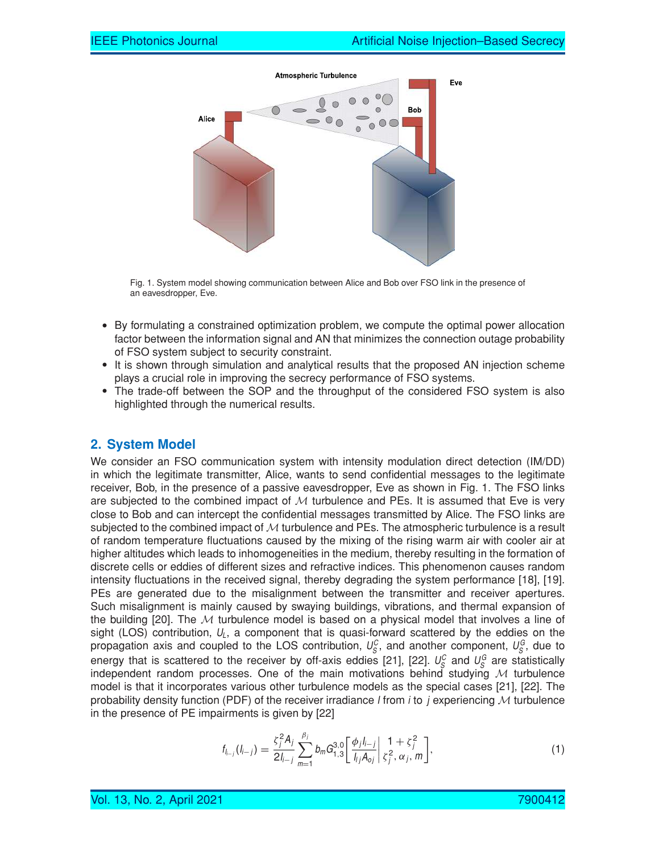

Fig. 1. System model showing communication between Alice and Bob over FSO link in the presence of an eavesdropper, Eve.

- By formulating a constrained optimization problem, we compute the optimal power allocation factor between the information signal and AN that minimizes the connection outage probability of FSO system subject to security constraint.
- It is shown through simulation and analytical results that the proposed AN injection scheme plays a crucial role in improving the secrecy performance of FSO systems.
- The trade-off between the SOP and the throughput of the considered FSO system is also highlighted through the numerical results.

# **2. System Model**

We consider an FSO communication system with intensity modulation direct detection (IM/DD) in which the legitimate transmitter, Alice, wants to send confidential messages to the legitimate receiver, Bob, in the presence of a passive eavesdropper, Eve as shown in Fig. 1. The FSO links are subjected to the combined impact of  $M$  turbulence and PEs. It is assumed that Eve is very close to Bob and can intercept the confidential messages transmitted by Alice. The FSO links are subjected to the combined impact of  $M$  turbulence and PEs. The atmospheric turbulence is a result of random temperature fluctuations caused by the mixing of the rising warm air with cooler air at higher altitudes which leads to inhomogeneities in the medium, thereby resulting in the formation of discrete cells or eddies of different sizes and refractive indices. This phenomenon causes random intensity fluctuations in the received signal, thereby degrading the system performance [18], [19]. PEs are generated due to the misalignment between the transmitter and receiver apertures. Such misalignment is mainly caused by swaying buildings, vibrations, and thermal expansion of the building [20]. The  $M$  turbulence model is based on a physical model that involves a line of sight (LOS) contribution,  $U_L$ , a component that is quasi-forward scattered by the eddies on the propagation axis and coupled to the LOS contribution,  $U_S^C$ , and another component,  $U_S^G$ , due to energy that is scattered to the receiver by off-axis eddies [21], [22].  $U_S^C$  and  $U_S^G$  are statistically independent random processes. One of the main motivations behind studying  $M$  turbulence model is that it incorporates various other turbulence models as the special cases [21], [22]. The probability density function (PDF) of the receiver irradiance I from i to j experiencing  $M$  turbulence in the presence of PE impairments is given by [22]

$$
f_{l_{i-j}}(l_{i-j}) = \frac{\zeta_j^2 A_j}{2l_{i-j}} \sum_{m=1}^{\beta_j} b_m G_{1,3}^{3,0} \left[ \frac{\phi_j l_{i-j}}{l_{ij} A_{oj}} \bigg| \frac{1 + \zeta_j^2}{\zeta_j^2, \alpha_j, m} \right],
$$
 (1)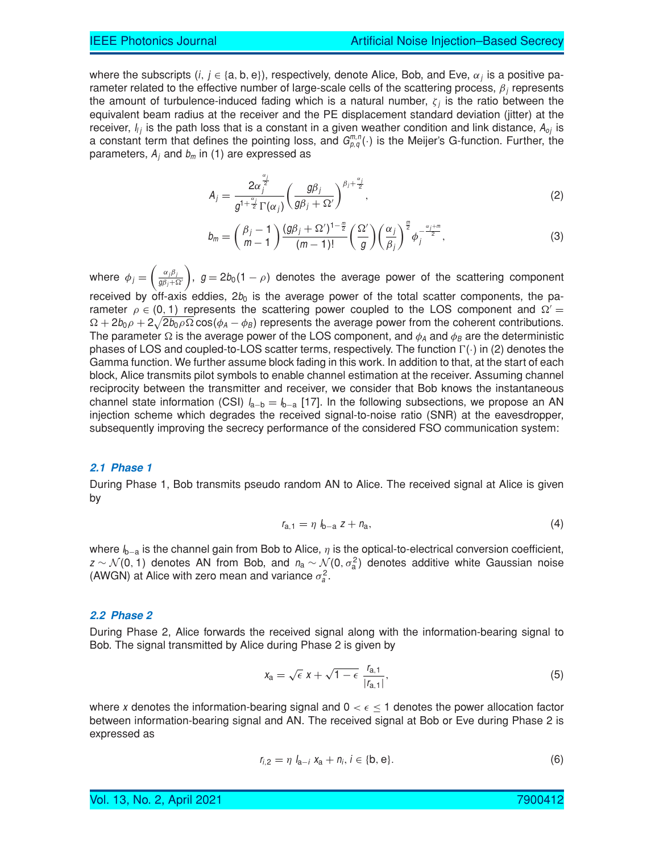where the subscripts  $(i, j \in \{a, b, e\})$ , respectively, denote Alice, Bob, and Eve,  $\alpha_j$  is a positive parameter related to the effective number of large-scale cells of the scattering process,  $\beta_i$  represents the amount of turbulence-induced fading which is a natural number,  $\zeta_j$  is the ratio between the equivalent beam radius at the receiver and the PE displacement standard deviation (jitter) at the receiver,  $I_{ij}$  is the path loss that is a constant in a given weather condition and link distance,  $A_{oj}$  is a constant term that defines the pointing loss, and  $G_{p,q}^{m,n}(\cdot)$  is the Meijer's G-function. Further, the parameters,  $A_j$  and  $b_m$  in (1) are expressed as

$$
A_j = \frac{2\alpha_j^{\frac{\alpha_j}{2}}}{g^{1+\frac{\alpha_j}{2}}\Gamma(\alpha_j)} \left(\frac{g\beta_j}{g\beta_j + \Omega'}\right)^{\beta_j + \frac{\alpha_j}{2}},\tag{2}
$$

$$
b_m = \left(\frac{\beta_j - 1}{m - 1}\right) \frac{(g\beta_j + \Omega')^{1 - \frac{m}{2}}}{(m - 1)!} \left(\frac{\Omega'}{g}\right) \left(\frac{\alpha_j}{\beta_j}\right)^{\frac{m}{2}} \phi_j^{-\frac{\alpha_j + m}{2}},\tag{3}
$$

where  $\phi_j = \Big(\frac{\alpha_j\beta_j}{g\beta_j+9}$  $g\beta_j+\Omega'$ ),  $g = 2b_0(1 - \rho)$  denotes the average power of the scattering component received by off-axis eddies,  $2b_0$  is the average power of the total scatter components, the parameter  $\rho \in (0, 1)$  represents the scattering power coupled to the LOS component and  $\Omega' =$  $\Omega + 2b_0 \rho + 2\sqrt{2b_0 \rho \Omega} \cos(\phi_A - \phi_B)$  represents the average power from the coherent contributions. The parameter  $\Omega$  is the average power of the LOS component, and  $\phi_A$  and  $\phi_B$  are the deterministic phases of LOS and coupled-to-LOS scatter terms, respectively. The function  $\Gamma(\cdot)$  in (2) denotes the Gamma function. We further assume block fading in this work. In addition to that, at the start of each block, Alice transmits pilot symbols to enable channel estimation at the receiver. Assuming channel reciprocity between the transmitter and receiver, we consider that Bob knows the instantaneous channel state information (CSI)  $I_{a-b} = I_{b-a}$  [17]. In the following subsections, we propose an AN injection scheme which degrades the received signal-to-noise ratio (SNR) at the eavesdropper, subsequently improving the secrecy performance of the considered FSO communication system:

#### **2.1 Phase 1**

During Phase 1, Bob transmits pseudo random AN to Alice. The received signal at Alice is given by

$$
r_{a,1} = \eta \, l_{b-a} \, z + n_a,\tag{4}
$$

where  $I_{b-a}$  is the channel gain from Bob to Alice,  $\eta$  is the optical-to-electrical conversion coefficient,  $z \sim \mathcal{N}(0, 1)$  denotes AN from Bob, and  $n_a \sim \mathcal{N}(0, \sigma_a^2)$  denotes additive white Gaussian noise (AWGN) at Alice with zero mean and variance  $\sigma_a^2$ .

#### **2.2 Phase 2**

During Phase 2, Alice forwards the received signal along with the information-bearing signal to Bob. The signal transmitted by Alice during Phase 2 is given by

$$
x_{\mathbf{a}} = \sqrt{\epsilon} \; x + \sqrt{1 - \epsilon} \; \frac{r_{\mathbf{a},1}}{|r_{\mathbf{a},1}|},\tag{5}
$$

where x denotes the information-bearing signal and  $0 < \epsilon \leq 1$  denotes the power allocation factor between information-bearing signal and AN. The received signal at Bob or Eve during Phase 2 is expressed as

$$
r_{i,2} = \eta \ I_{a-i} \ x_a + n_i, i \in \{b, e\}.
$$
 (6)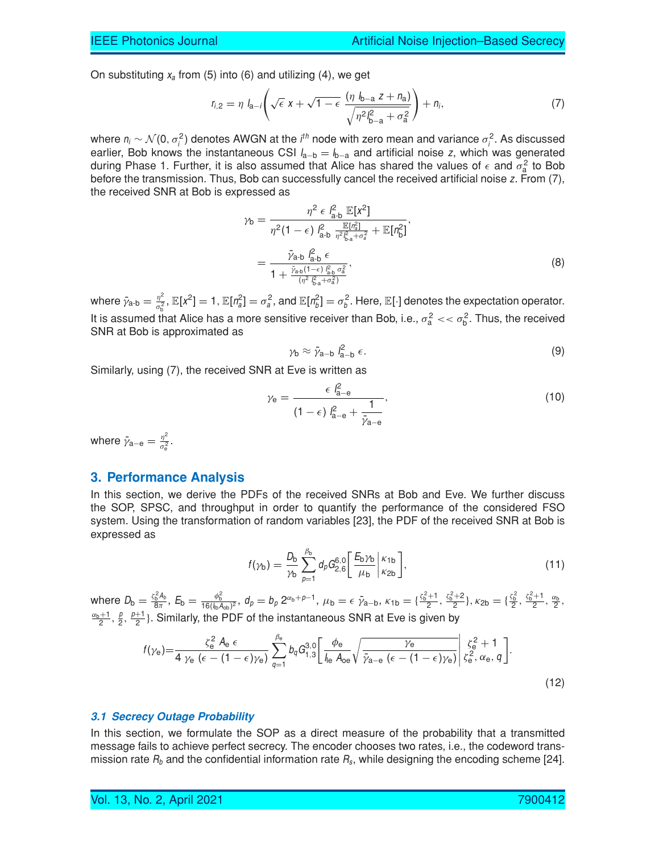On substituting  $x_a$  from (5) into (6) and utilizing (4), we get

$$
r_{i,2} = \eta \ I_{a-i} \left( \sqrt{\epsilon} \ X + \sqrt{1 - \epsilon} \ \frac{(\eta \ I_{b-a} \ Z + n_a)}{\sqrt{\eta^2 I_{b-a}^2 + \sigma_a^2}} \right) + n_i,
$$
 (7)

where  $n_i \sim \mathcal{N}(0, \sigma_i^2)$  denotes AWGN at the i<sup>th</sup> node with zero mean and variance  $\sigma_i^2$ . As discussed earlier, Bob knows the instantaneous CSI  $I_{a-b} = I_{b-a}$  and artificial noise z, which was generated during Phase 1. Further, it is also assumed that Alice has shared the values of  $\epsilon$  and  $\sigma_{\rm a}^2$  to Bob before the transmission. Thus, Bob can successfully cancel the received artificial noise z. From (7), the received SNR at Bob is expressed as

$$
\gamma_{\rm b} = \frac{\eta^2 \epsilon \, l_{\rm a-b}^2 \, \mathbb{E}[X^2]}{\eta^2 (1 - \epsilon) \, l_{\rm a-b}^2 \, \frac{\mathbb{E}[n_{\rm a}^2]}{\eta^2 l_{\rm a+a}^2} + \mathbb{E}[n_{\rm b}^2]},
$$
\n
$$
= \frac{\bar{\gamma}_{\rm a-b} \, l_{\rm a-b}^2 \, \epsilon}{1 + \frac{\bar{\gamma}_{\rm a-b} (1 - \epsilon) \, l_{\rm a-b}^2 \, \sigma_{\rm a}^2}{(\eta^2 \, l_{\rm a+a}^2 - \sigma_{\rm a}^2)}},
$$
\n(8)

where  $\bar{\gamma}_{\mathsf{a\text{-}b}} = \frac{\eta^2}{\sigma_{\mathsf{b}}^2}$  $\frac{\eta^2}{\sigma_6^2}$ ,  $\mathbb{E}[X^2]=1$ ,  $\mathbb{E}[n_{\tilde{a}}^2]=\sigma_a^2$ , and  $\mathbb{E}[n_{\tilde{b}}^2]=\sigma_b^2$ . Here,  $\mathbb{E}[\cdot]$  denotes the expectation operator. It is assumed that Alice has a more sensitive receiver than Bob, i.e.,  $\sigma_a^2 \ll \sigma_b^2$ . Thus, the received SNR at Bob is approximated as

$$
\gamma_{\mathsf{b}} \approx \bar{\gamma}_{\mathsf{a}-\mathsf{b}} \, l_{\mathsf{a}-\mathsf{b}}^2 \, \epsilon. \tag{9}
$$

Similarly, using (7), the received SNR at Eve is written as

$$
\gamma_{\rm e} = \frac{\epsilon \, l_{\rm a-e}^2}{(1-\epsilon) \, l_{\rm a-e}^2 + \frac{1}{\bar{\gamma}_{\rm a-e}}},\tag{10}
$$

where  $\bar{\gamma}_{\mathrm{a-e}}=\frac{\eta^2}{\sigma_{\mathrm{e}}^2}$  $\frac{\eta^-}{\sigma_{\rm e}^2}$ .

# **3. Performance Analysis**

In this section, we derive the PDFs of the received SNRs at Bob and Eve. We further discuss the SOP, SPSC, and throughput in order to quantify the performance of the considered FSO system. Using the transformation of random variables [23], the PDF of the received SNR at Bob is expressed as

$$
f(\gamma_{\rm b}) = \frac{D_{\rm b}}{\gamma_{\rm b}} \sum_{p=1}^{\beta_{\rm b}} d_p G_{2,6}^{6,0} \left[ \frac{E_{\rm b} \gamma_{\rm b}}{\mu_{\rm b}} \Big| \frac{\kappa_{1\rm b}}{\kappa_{2\rm b}} \right],\tag{11}
$$

where  $D_{\mathsf{b}} = \frac{\zeta_{\mathsf{b}}^2 \mathcal{A}_b}{8\pi}$  $\frac{e^2A_b}{8\pi}$ ,  $E_b = \frac{\phi_b^2}{16(\frac{1}{16}A_{\text{ob}})^2}$ ,  $d_p = b_p 2^{\alpha_b + p - 1}$ ,  $\mu_b = \epsilon \bar{\gamma}_{a-b}$ ,  $\kappa_{1b} = {\frac{\zeta_b^2 + 1}{2}, \frac{\zeta_b^2 + 2}{2}}$ ,  $\kappa_{2b} = {\frac{\zeta_b^2}{2}, \frac{\zeta_b^2 + 1}{2}, \frac{\alpha_b}{2}}$  $\frac{\alpha_{b}+1}{2}, \frac{\beta}{2}, \frac{\beta+1}{2}$ . Similarly, the PDF of the instantaneous SNR at Eve is given by

$$
f(\gamma_{e}) = \frac{\zeta_{e}^{2} A_{e} \epsilon}{4 \gamma_{e} (\epsilon - (1 - \epsilon)\gamma_{e})} \sum_{q=1}^{\beta_{e}} b_{q} G_{1,3}^{3,0} \left[ \frac{\phi_{e}}{I_{le} A_{oe}} \sqrt{\frac{\gamma_{e}}{\bar{\gamma}_{a-e} (\epsilon - (1 - \epsilon)\gamma_{e})}} \middle| \frac{\zeta_{e}^{2} + 1}{\zeta_{e}^{2}, \alpha_{e}, q} \right].
$$
\n(12)

#### **3.1 Secrecy Outage Probability**

In this section, we formulate the SOP as a direct measure of the probability that a transmitted message fails to achieve perfect secrecy. The encoder chooses two rates, i.e., the codeword transmission rate  $R_b$  and the confidential information rate  $R_s$ , while designing the encoding scheme [24].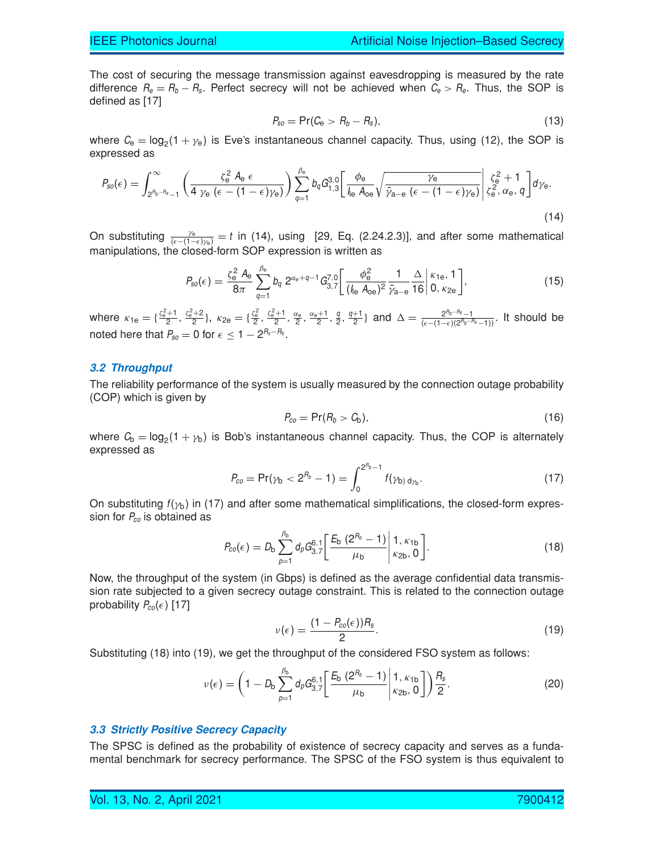The cost of securing the message transmission against eavesdropping is measured by the rate difference  $R_e = R_b - R_s$ . Perfect secrecy will not be achieved when  $C_e > R_e$ . Thus, the SOP is defined as [17]

$$
P_{so} = \Pr(C_e > R_b - R_s), \tag{13}
$$

where  $C_{\rm e} = \log_2(1 + \gamma_{\rm e})$  is Eve's instantaneous channel capacity. Thus, using (12), the SOP is expressed as

$$
P_{so}(\epsilon) = \int_{2^{R_b - R_s} - 1}^{\infty} \left( \frac{\zeta_e^2 A_e \epsilon}{4 \gamma_e (\epsilon - (1 - \epsilon)\gamma_e)} \right) \sum_{q=1}^{\beta_e} b_q G_{1,3}^{3,0} \left[ \frac{\phi_e}{I_{\text{le}} A_{\text{oe}}} \sqrt{\frac{\gamma_e}{\bar{\gamma}_{a-e} (\epsilon - (1 - \epsilon)\gamma_e)}} \right] \zeta_e^2 + 1 \zeta_e^2 \alpha_e, q \right] d\gamma_e. \tag{14}
$$

On substituting  $\frac{\gamma_e}{(\epsilon - (1 - \epsilon)\gamma_e)} = t$  in (14), using [29, Eq. (2.24.2.3)], and after some mathematical manipulations, the closed-form SOP expression is written as

$$
P_{so}(\epsilon) = \frac{\zeta_e^2 A_e}{8\pi} \sum_{q=1}^{\beta_e} b_q \ 2^{\alpha_e + q - 1} G_{3,7}^{7,0} \left[ \frac{\phi_e^2}{(\int_{\text{le}} A_{oe})^2} \frac{1}{\bar{\gamma}_{a-e}} \frac{\Delta}{16} \middle| \begin{matrix} \kappa_{1e}, 1\\ 0, \kappa_{2e} \end{matrix} \right],\tag{15}
$$

where  $\kappa_{1e} = \{\frac{\zeta_e^2 + 1}{2}, \frac{\zeta_e^2 + 2}{2}\}, \kappa_{2e} = \{\frac{\zeta_e^2}{2}, \frac{\zeta_e^2 + 1}{2}, \frac{\alpha_e}{2}, \frac{\alpha_e + 1}{2}, \frac{q}{2}, \frac{q+1}{2}\}$  and  $\Delta = \frac{2^{n_b - n_s} - 1}{(\epsilon - (1 - \epsilon)(2^{n_b - n_s} - 1))}$ . It should be noted here that  $P_{so} = 0$  for  $\epsilon \leq 1 - 2^{R_s - R_b}$ .

#### **3.2 Throughput**

The reliability performance of the system is usually measured by the connection outage probability (COP) which is given by

$$
P_{co} = \Pr(R_b > C_b), \tag{16}
$$

where  $C_{\text{b}} = \log_2(1 + \gamma_{\text{b}})$  is Bob's instantaneous channel capacity. Thus, the COP is alternately expressed as

$$
P_{co} = \Pr(\gamma_b < 2^{R_b} - 1) = \int_0^{2^{R_b} - 1} f(\gamma_b) \, \mathrm{d}_{\gamma_b}.\tag{17}
$$

On substituting  $f(\gamma_b)$  in (17) and after some mathematical simplifications, the closed-form expression for  $P_{co}$  is obtained as

$$
P_{co}(\epsilon) = D_{\rm b} \sum_{p=1}^{\beta_{\rm b}} d_p G_{3,7}^{6,1} \bigg[ \frac{E_{\rm b} (2^{R_{\rm b}} - 1)}{\mu_{\rm b}} \bigg| 1, \kappa_{\rm 1b} \atop \kappa_{\rm 2b},0 \bigg]. \tag{18}
$$

Now, the throughput of the system (in Gbps) is defined as the average confidential data transmission rate subjected to a given secrecy outage constraint. This is related to the connection outage probability  $P_{co}(\epsilon)$  [17]

$$
\nu(\epsilon) = \frac{(1 - P_{co}(\epsilon))R_s}{2}.
$$
\n(19)

Substituting (18) into (19), we get the throughput of the considered FSO system as follows:

$$
\nu(\epsilon) = \left(1 - D_{\rm b} \sum_{p=1}^{\beta_{\rm b}} d_p G_{3,7}^{6,1} \left[ \frac{E_{\rm b} (2^{R_b} - 1)}{\mu_{\rm b}} \middle| 1, \kappa_{\rm 1b} \atop \kappa_{\rm 2b}, 0 \right] \right) \frac{R_{\rm s}}{2}.
$$
 (20)

#### **3.3 Strictly Positive Secrecy Capacity**

The SPSC is defined as the probability of existence of secrecy capacity and serves as a fundamental benchmark for secrecy performance. The SPSC of the FSO system is thus equivalent to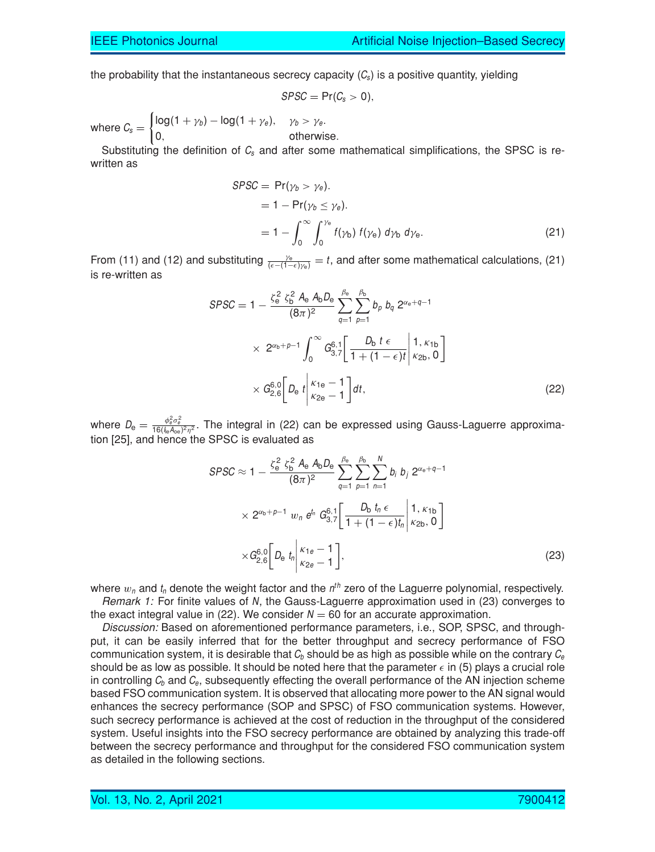the probability that the instantaneous secrecy capacity  $(C_s)$  is a positive quantity, yielding

$$
SPSC = Pr(C_s > 0),
$$

where  $C_{s} =$  $\int$ log(1 +  $\gamma_b$ ) – log(1 +  $\gamma_e$ ),  $\gamma_b > \gamma_e$ . 0, otherwise.

Substituting the definition of  $C_s$  and after some mathematical simplifications, the SPSC is rewritten as

$$
SPSC = Pr(\gamma_b > \gamma_e).
$$
  
= 1 - Pr(\gamma\_b \le \gamma\_e).  
= 1 -  $\int_0^\infty \int_0^{\gamma_e} f(\gamma_b) f(\gamma_e) d\gamma_b d\gamma_e.$  (21)

From (11) and (12) and substituting  $\frac{\gamma_e}{(e-(1-\epsilon)\gamma_e)}=t$ , and after some mathematical calculations, (21) is re-written as

$$
SPSC = 1 - \frac{\zeta_e^2 \zeta_b^2 A_e A_b D_e}{(8\pi)^2} \sum_{q=1}^{\beta_e} \sum_{p=1}^{\beta_b} b_p b_q 2^{\alpha_e + q - 1}
$$
  
 
$$
\times 2^{\alpha_b + p - 1} \int_0^\infty G_{3,7}^{6,1} \left[ \frac{D_b t \epsilon}{1 + (1 - \epsilon)t} \middle| \frac{1, \kappa_{1b}}{\kappa_{2b}, 0} \right]
$$
  
 
$$
\times G_{2,6}^{6,0} \left[ D_e t \middle| \frac{\kappa_{1e} - 1}{\kappa_{2e} - 1} \right] dt,
$$
 (22)

where  $D_e = \frac{\phi_e^2 \sigma_e^2}{16(\int_{te}A_{oe})^2 \eta^2}$ . The integral in (22) can be expressed using Gauss-Laguerre approximation [25], and hence the SPSC is evaluated as

$$
SPSC \approx 1 - \frac{\zeta_e^2 \zeta_b^2 A_e A_b D_e}{(8\pi)^2} \sum_{q=1}^{\beta_e} \sum_{p=1}^{\beta_b} \sum_{n=1}^N b_i b_j 2^{\alpha_e + q - 1}
$$
  
 
$$
\times 2^{\alpha_b + p - 1} w_n e^{t_n} G_{3,7}^{6,1} \left[ \frac{D_b t_n \epsilon}{1 + (1 - \epsilon)t_n} \middle| \begin{array}{l} 1, \kappa_{1b} \\ \kappa_{2b}, 0 \end{array} \right]
$$
  
 
$$
\times G_{2,6}^{6,0} \left[ D_e t_n \middle| \begin{array}{l} \kappa_{1e} - 1 \\ \kappa_{2e} - 1 \end{array} \right],
$$
 (23)

where  $w_n$  and  $t_n$  denote the weight factor and the  $n^{th}$  zero of the Laguerre polynomial, respectively. *Remark 1:* For finite values of N, the Gauss-Laguerre approximation used in (23) converges to the exact integral value in (22). We consider  $N = 60$  for an accurate approximation.

*Discussion:* Based on aforementioned performance parameters, i.e., SOP, SPSC, and throughput, it can be easily inferred that for the better throughput and secrecy performance of FSO communication system, it is desirable that  $C_b$  should be as high as possible while on the contrary  $C_e$ should be as low as possible. It should be noted here that the parameter  $\epsilon$  in (5) plays a crucial role in controlling  $C_b$  and  $C_e$ , subsequently effecting the overall performance of the AN injection scheme based FSO communication system. It is observed that allocating more power to the AN signal would enhances the secrecy performance (SOP and SPSC) of FSO communication systems. However, such secrecy performance is achieved at the cost of reduction in the throughput of the considered system. Useful insights into the FSO secrecy performance are obtained by analyzing this trade-off between the secrecy performance and throughput for the considered FSO communication system as detailed in the following sections.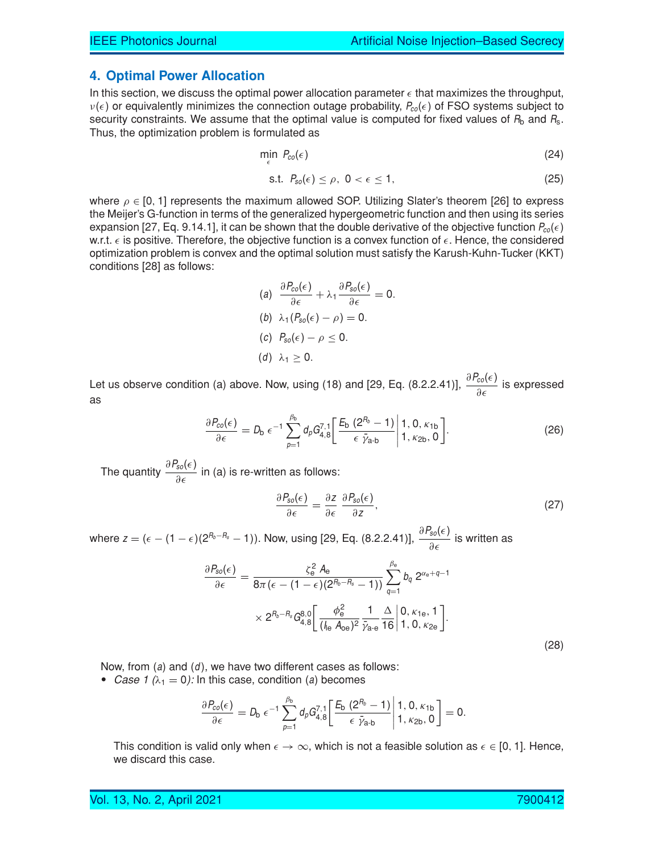#### **4. Optimal Power Allocation**

In this section, we discuss the optimal power allocation parameter  $\epsilon$  that maximizes the throughput,  $v(\epsilon)$  or equivalently minimizes the connection outage probability,  $P_{co}(\epsilon)$  of FSO systems subject to security constraints. We assume that the optimal value is computed for fixed values of  $R_b$  and  $R_s$ . Thus, the optimization problem is formulated as

$$
\min_{\epsilon} \ P_{co}(\epsilon) \tag{24}
$$

$$
\text{s.t. } P_{so}(\epsilon) \le \rho, \ 0 < \epsilon \le 1,\tag{25}
$$

where  $\rho \in [0, 1]$  represents the maximum allowed SOP. Utilizing Slater's theorem [26] to express the Meijer's G-function in terms of the generalized hypergeometric function and then using its series expansion [27, Eq. 9.14.1], it can be shown that the double derivative of the objective function  $P_{co}(\epsilon)$ w.r.t.  $\epsilon$  is positive. Therefore, the objective function is a convex function of  $\epsilon$ . Hence, the considered optimization problem is convex and the optimal solution must satisfy the Karush-Kuhn-Tucker (KKT) conditions [28] as follows:

(a) 
$$
\frac{\partial P_{\text{co}}(\epsilon)}{\partial \epsilon} + \lambda_1 \frac{\partial P_{\text{so}}(\epsilon)}{\partial \epsilon} = 0.
$$
  
\n(b) 
$$
\lambda_1 (P_{\text{so}}(\epsilon) - \rho) = 0.
$$
  
\n(c) 
$$
P_{\text{so}}(\epsilon) - \rho \le 0.
$$
  
\n(d) 
$$
\lambda_1 \ge 0.
$$

Let us observe condition (a) above. Now, using (18) and [29, Eq. (8.2.2.41)],  $\frac{\partial P_{co}(\epsilon)}{\partial \epsilon}$  is expressed as

$$
\frac{\partial P_{co}(\epsilon)}{\partial \epsilon} = D_{b} \epsilon^{-1} \sum_{p=1}^{\beta_{b}} d_{p} G_{4,8}^{7,1} \left[ \frac{E_{b} (2^{R_{b}} - 1)}{\epsilon \bar{\gamma}_{a \cdot b}} \middle| 1, 0, \kappa_{1b} \atop 1, \kappa_{2b}, 0 \right].
$$
 (26)

The quantity  $\frac{\partial P_{so}(\epsilon)}{\partial \epsilon}$  in (a) is re-written as follows:

$$
\frac{\partial P_{so}(\epsilon)}{\partial \epsilon} = \frac{\partial z}{\partial \epsilon} \frac{\partial P_{so}(\epsilon)}{\partial z},\tag{27}
$$

where  $z=(\epsilon-(1-\epsilon)(2^{R_b-R_s}-1))$ . Now, using [29, Eq. (8.2.2.41)],  $\frac{\partial P_{so}(\epsilon)}{\partial \epsilon}$  is written as

$$
\frac{\partial P_{so}(\epsilon)}{\partial \epsilon} = \frac{\zeta_e^2 A_e}{8\pi (\epsilon - (1 - \epsilon)(2^{R_b - R_s} - 1))} \sum_{q=1}^{\beta_e} b_q 2^{\alpha_e + q - 1}
$$

$$
\times 2^{R_b - R_s} G_{4,8}^{8,0} \left[ \frac{\phi_e^2}{(\int_{\text{Re }A_{oe})^2} \frac{1}{\bar{\gamma}_{a-e}} \frac{\Delta}{16} \middle| 1, 0, \kappa_{2e} \right].
$$

Now, from  $(a)$  and  $(d)$ , we have two different cases as follows:

*Case 1*  $(\lambda_1 = 0)$ : In this case, condition (a) becomes

$$
\frac{\partial P_{co}(\epsilon)}{\partial \epsilon} = D_b \epsilon^{-1} \sum_{p=1}^{\beta_b} d_p G_{4,8}^{7,1} \left[ \frac{E_b (2^{R_b} - 1)}{\epsilon \bar{\gamma}_{a \cdot b}} \middle| 1, 0, \kappa_{1b} \atop 1, \kappa_{2b}, 0 \right] = 0.
$$

This condition is valid only when  $\epsilon \to \infty$ , which is not a feasible solution as  $\epsilon \in [0, 1]$ . Hence, we discard this case.

Vol. 13, No. 2, April 2021 7900412

(28)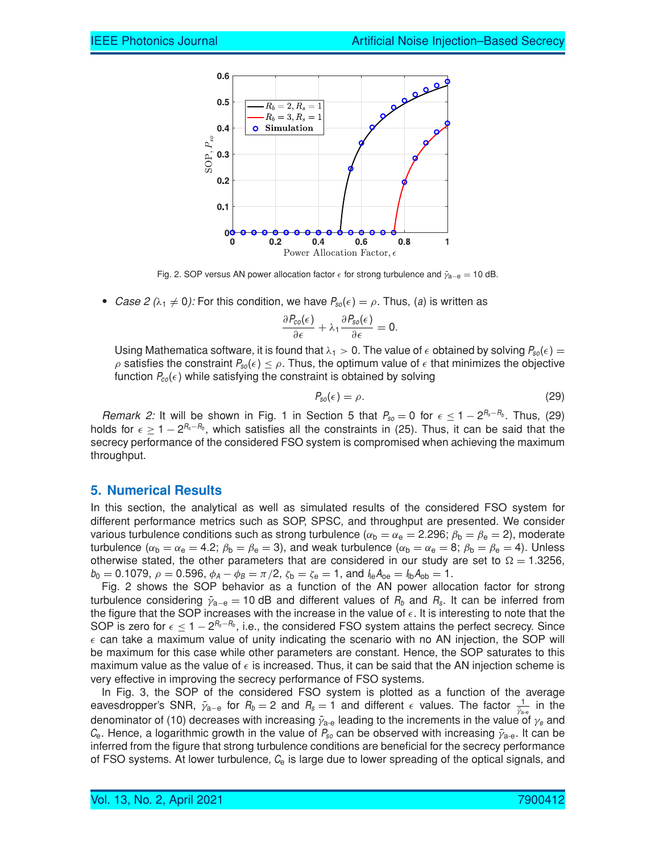

Fig. 2. SOP versus AN power allocation factor  $\epsilon$  for strong turbulence and  $\bar{\gamma}_{a-e} = 10$  dB.

*Case 2* ( $\lambda_1 \neq 0$ ): For this condition, we have  $P_{so}(\epsilon) = \rho$ . Thus, (a) is written as

$$
\frac{\partial P_{co}(\epsilon)}{\partial \epsilon} + \lambda_1 \frac{\partial P_{so}(\epsilon)}{\partial \epsilon} = 0.
$$

Using Mathematica software, it is found that  $\lambda_1 > 0$ . The value of  $\epsilon$  obtained by solving  $P_{\text{so}}(\epsilon)$  =  $\rho$  satisfies the constraint  $P_{\text{so}}(\epsilon) \leq \rho$ . Thus, the optimum value of  $\epsilon$  that minimizes the objective function  $P_{co}(\epsilon)$  while satisfying the constraint is obtained by solving

$$
P_{so}(\epsilon) = \rho. \tag{29}
$$

*Remark 2:* It will be shown in Fig. 1 in Section 5 that  $P_{so} = 0$  for  $\epsilon \le 1 - 2^{R_s - R_b}$ . Thus, (29) holds for  $\epsilon \geq 1 - 2^{R_s - R_b}$ , which satisfies all the constraints in (25). Thus, it can be said that the secrecy performance of the considered FSO system is compromised when achieving the maximum throughput.

## **5. Numerical Results**

In this section, the analytical as well as simulated results of the considered FSO system for different performance metrics such as SOP, SPSC, and throughput are presented. We consider various turbulence conditions such as strong turbulence ( $\alpha_{\rm b} = \alpha_{\rm e} = 2.296$ ;  $\beta_{\rm b} = \beta_{\rm e} = 2$ ), moderate turbulence ( $\alpha_b = \alpha_e = 4.2$ ;  $\beta_b = \beta_e = 3$ ), and weak turbulence ( $\alpha_b = \alpha_e = 8$ ;  $\beta_b = \beta_e = 4$ ). Unless otherwise stated, the other parameters that are considered in our study are set to  $\Omega = 1.3256$ ,  $b_0 = 0.1079$ ,  $\rho = 0.596$ ,  $\phi_A - \phi_B = \pi/2$ ,  $\zeta_b = \zeta_e = 1$ , and  $I_{\text{le}}A_{\text{oe}} = I_{\text{lo}}A_{\text{ob}} = 1$ .

Fig. 2 shows the SOP behavior as a function of the AN power allocation factor for strong turbulence considering  $\bar{\gamma}_{a-e} = 10$  dB and different values of  $R_b$  and  $R_s$ . It can be inferred from the figure that the SOP increases with the increase in the value of  $\epsilon$ . It is interesting to note that the SOP is zero for  $\epsilon \leq 1 - 2^{R_s - R_b}$ , i.e., the considered FSO system attains the perfect secrecy. Since  $\epsilon$  can take a maximum value of unity indicating the scenario with no AN injection, the SOP will be maximum for this case while other parameters are constant. Hence, the SOP saturates to this maximum value as the value of  $\epsilon$  is increased. Thus, it can be said that the AN injection scheme is very effective in improving the secrecy performance of FSO systems.

In Fig. 3, the SOP of the considered FSO system is plotted as a function of the average eavesdropper's SNR,  $\bar{\gamma}_{a-e}$  for  $R_b = 2$  and  $R_s = 1$  and different  $\epsilon$  values. The factor  $\frac{1}{\bar{\gamma}_{a-e}}$  in the denominator of (10) decreases with increasing  $\bar{\gamma}_{\text{a-e}}$  leading to the increments in the value of  $\gamma_e$  and  $C_{e}$ . Hence, a logarithmic growth in the value of  $P_{so}$  can be observed with increasing  $\bar{\gamma}_{\text{a-e}}$ . It can be inferred from the figure that strong turbulence conditions are beneficial for the secrecy performance of FSO systems. At lower turbulence,  $C_{e}$  is large due to lower spreading of the optical signals, and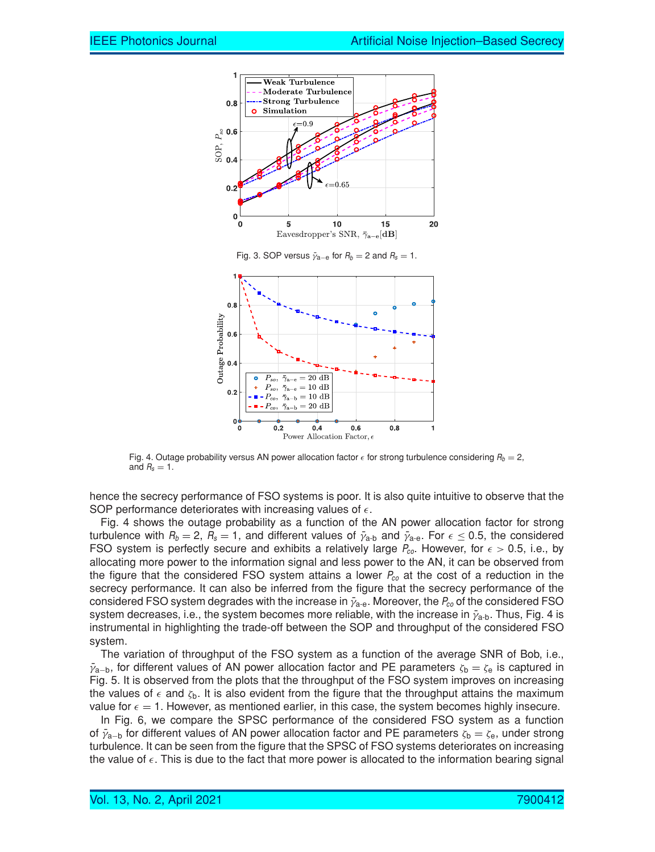

Fig. 4. Outage probability versus AN power allocation factor  $\epsilon$  for strong turbulence considering  $R_b = 2$ , and  $R_s = 1$ .

hence the secrecy performance of FSO systems is poor. It is also quite intuitive to observe that the SOP performance deteriorates with increasing values of  $\epsilon$ .

Fig. 4 shows the outage probability as a function of the AN power allocation factor for strong turbulence with  $R_b = 2$ ,  $R_s = 1$ , and different values of  $\bar{y}_{a-b}$  and  $\bar{y}_{a-e}$ . For  $\epsilon \le 0.5$ , the considered FSO system is perfectly secure and exhibits a relatively large  $P_{co}$ . However, for  $\epsilon > 0.5$ , i.e., by allocating more power to the information signal and less power to the AN, it can be observed from the figure that the considered FSO system attains a lower  $P_{co}$  at the cost of a reduction in the secrecy performance. It can also be inferred from the figure that the secrecy performance of the considered FSO system degrades with the increase in  $\bar{\gamma}_{a-e}$ . Moreover, the  $P_{co}$  of the considered FSO system decreases, i.e., the system becomes more reliable, with the increase in  $\bar{\gamma}_{a-b}$ . Thus, Fig. 4 is instrumental in highlighting the trade-off between the SOP and throughput of the considered FSO system.

The variation of throughput of the FSO system as a function of the average SNR of Bob, i.e.,  $\bar{\gamma}_{a-b}$ , for different values of AN power allocation factor and PE parameters  $\zeta_b = \zeta_e$  is captured in Fig. 5. It is observed from the plots that the throughput of the FSO system improves on increasing the values of  $\epsilon$  and  $\zeta_{\rm b}$ . It is also evident from the figure that the throughput attains the maximum value for  $\epsilon = 1$ . However, as mentioned earlier, in this case, the system becomes highly insecure.

In Fig. 6, we compare the SPSC performance of the considered FSO system as a function of  $\tilde{\gamma}_{a-b}$  for different values of AN power allocation factor and PE parameters  $\zeta_b = \zeta_e$ , under strong turbulence. It can be seen from the figure that the SPSC of FSO systems deteriorates on increasing the value of  $\epsilon$ . This is due to the fact that more power is allocated to the information bearing signal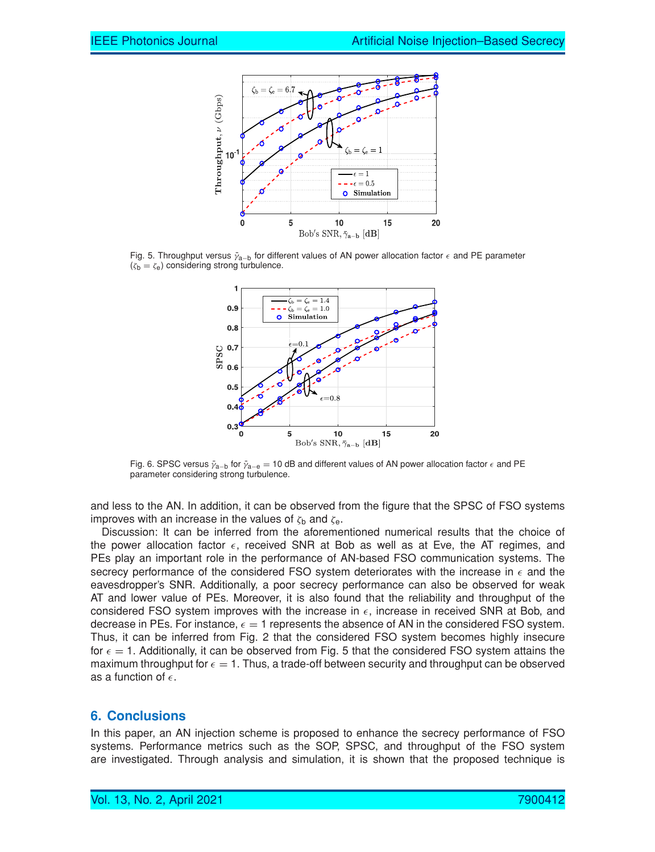

Fig. 5. Throughput versus  $\bar{y}_{a-b}$  for different values of AN power allocation factor  $\epsilon$  and PE parameter  $(\zeta_b = \zeta_e)$  considering strong turbulence.



Fig. 6. SPSC versus  $\bar{y}_{a-b}$  for  $\bar{y}_{a-e} = 10$  dB and different values of AN power allocation factor  $\epsilon$  and PE parameter considering strong turbulence.

and less to the AN. In addition, it can be observed from the figure that the SPSC of FSO systems improves with an increase in the values of  $\zeta_{\rm b}$  and  $\zeta_{\rm e}$ .

Discussion: It can be inferred from the aforementioned numerical results that the choice of the power allocation factor  $\epsilon$ , received SNR at Bob as well as at Eve, the AT regimes, and PEs play an important role in the performance of AN-based FSO communication systems. The secrecy performance of the considered FSO system deteriorates with the increase in  $\epsilon$  and the eavesdropper's SNR. Additionally, a poor secrecy performance can also be observed for weak AT and lower value of PEs. Moreover, it is also found that the reliability and throughput of the considered FSO system improves with the increase in  $\epsilon$ , increase in received SNR at Bob, and decrease in PEs. For instance,  $\epsilon = 1$  represents the absence of AN in the considered FSO system. Thus, it can be inferred from Fig. 2 that the considered FSO system becomes highly insecure for  $\epsilon = 1$ . Additionally, it can be observed from Fig. 5 that the considered FSO system attains the maximum throughput for  $\epsilon = 1$ . Thus, a trade-off between security and throughput can be observed as a function of  $\epsilon$ .

## **6. Conclusions**

In this paper, an AN injection scheme is proposed to enhance the secrecy performance of FSO systems. Performance metrics such as the SOP, SPSC, and throughput of the FSO system are investigated. Through analysis and simulation, it is shown that the proposed technique is